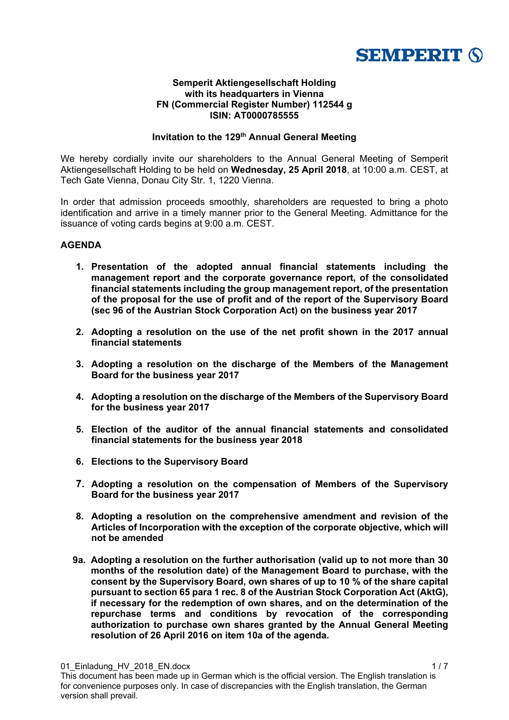

### **Semperit Aktiengesellschaft Holding with its headquarters in Vienna FN (Commercial Register Number) 112544 g ISIN: AT0000785555**

## **Invitation to the 129<sup>th</sup> Annual General Meeting**

We hereby cordially invite our shareholders to the Annual General Meeting of Semperit Aktiengesellschaft Holding to be held on **Wednesday, 25 April 2018**, at 10:00 a.m. CEST, at Tech Gate Vienna, Donau City Str. 1, 1220 Vienna.

In order that admission proceeds smoothly, shareholders are requested to bring a photo identification and arrive in a timely manner prior to the General Meeting. Admittance for the issuance of voting cards begins at 9:00 a.m. CEST.

## **AGENDA**

- **1. Presentation of the adopted annual financial statements including the management report and the corporate governance report, of the consolidated financial statements including the group management report, of the presentation of the proposal for the use of profit and of the report of the Supervisory Board (sec 96 of the Austrian Stock Corporation Act) on the business year 2017**
- **2. Adopting a resolution on the use of the net profit shown in the 2017 annual financial statements**
- **3. Adopting a resolution on the discharge of the Members of the Management Board for the business year 2017**
- **4. Adopting a resolution on the discharge of the Members of the Supervisory Board for the business year 2017**
- **5. Election of the auditor of the annual financial statements and consolidated financial statements for the business year 2018**
- **6. Elections to the Supervisory Board**
- **7. Adopting a resolution on the compensation of Members of the Supervisory Board for the business year 2017**
- **8. Adopting a resolution on the comprehensive amendment and revision of the Articles of Incorporation with the exception of the corporate objective, which will not be amended**
- **9a. Adopting a resolution on the further authorisation (valid up to not more than 30 months of the resolution date) of the Management Board to purchase, with the consent by the Supervisory Board, own shares of up to 10 % of the share capital pursuant to section 65 para 1 rec. 8 of the Austrian Stock Corporation Act (AktG), if necessary for the redemption of own shares, and on the determination of the repurchase terms and conditions by revocation of the corresponding authorization to purchase own shares granted by the Annual General Meeting resolution of 26 April 2016 on item 10a of the agenda.**

01\_Einladung\_HV\_2018\_EN.docx 1 / 7 This document has been made up in German which is the official version. The English translation is for convenience purposes only. In case of discrepancies with the English translation, the German version shall prevail.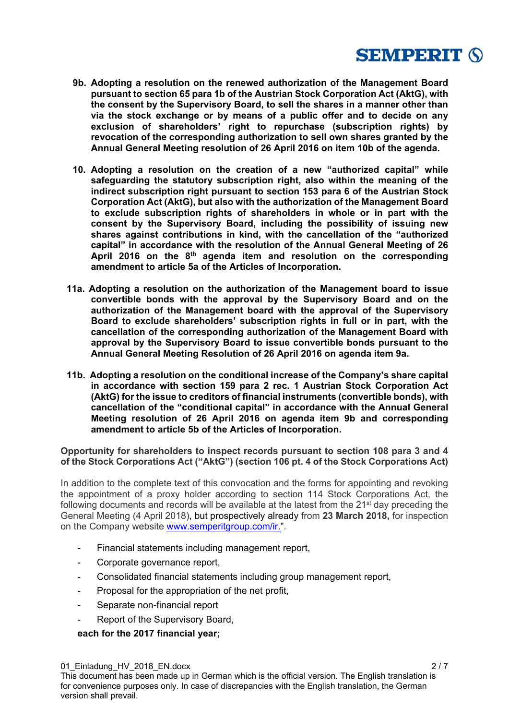

- **9b. Adopting a resolution on the renewed authorization of the Management Board pursuant to section 65 para 1b of the Austrian Stock Corporation Act (AktG), with the consent by the Supervisory Board, to sell the shares in a manner other than via the stock exchange or by means of a public offer and to decide on any exclusion of shareholders' right to repurchase (subscription rights) by revocation of the corresponding authorization to sell own shares granted by the Annual General Meeting resolution of 26 April 2016 on item 10b of the agenda.**
- **10. Adopting a resolution on the creation of a new "authorized capital" while safeguarding the statutory subscription right, also within the meaning of the indirect subscription right pursuant to section 153 para 6 of the Austrian Stock Corporation Act (AktG), but also with the authorization of the Management Board to exclude subscription rights of shareholders in whole or in part with the consent by the Supervisory Board, including the possibility of issuing new shares against contributions in kind, with the cancellation of the "authorized capital" in accordance with the resolution of the Annual General Meeting of 26 April 2016 on the 8th agenda item and resolution on the corresponding amendment to article 5a of the Articles of Incorporation.**
- **11a. Adopting a resolution on the authorization of the Management board to issue convertible bonds with the approval by the Supervisory Board and on the authorization of the Management board with the approval of the Supervisory Board to exclude shareholders' subscription rights in full or in part, with the cancellation of the corresponding authorization of the Management Board with approval by the Supervisory Board to issue convertible bonds pursuant to the Annual General Meeting Resolution of 26 April 2016 on agenda item 9a.**
- **11b. Adopting a resolution on the conditional increase of the Company's share capital in accordance with section 159 para 2 rec. 1 Austrian Stock Corporation Act (AktG) for the issue to creditors of financial instruments (convertible bonds), with cancellation of the "conditional capital" in accordance with the Annual General Meeting resolution of 26 April 2016 on agenda item 9b and corresponding amendment to article 5b of the Articles of Incorporation.**

**Opportunity for shareholders to inspect records pursuant to section 108 para 3 and 4 of the Stock Corporations Act ("AktG") (section 106 pt. 4 of the Stock Corporations Act)** 

In addition to the complete text of this convocation and the forms for appointing and revoking the appointment of a proxy holder according to section 114 Stock Corporations Act, the following documents and records will be available at the latest from the 21<sup>st</sup> day preceding the General Meeting (4 April 2018), but prospectively already from **23 March 2018,** for inspection on the Company website www.semperitgroup.com/ir.".

- Financial statements including management report,
- Corporate governance report,
- Consolidated financial statements including group management report,
- Proposal for the appropriation of the net profit,
- Separate non-financial report
- Report of the Supervisory Board,

**each for the 2017 financial year;**

01\_Einladung\_HV\_2018\_EN.docx 2 / 7 2 / 7 2 / 7 2 / 7 2 / 7 2 / 7 2 / 7 2 / 7 2 / 7 2 / 7 2 / 7 2 / 7 2 / 7 2 / 7 2 / 7 2 / 7 2 / 7 2 / 7 2 / 7 2 / 7 2 / 7 2 / 7 2 / 7 2 / 7 2 / 7 2 / 7 2 / 7 2 / 7 2 / 7 2 / 7 2 / 7 2 / 7 2 This document has been made up in German which is the official version. The English translation is for convenience purposes only. In case of discrepancies with the English translation, the German version shall prevail.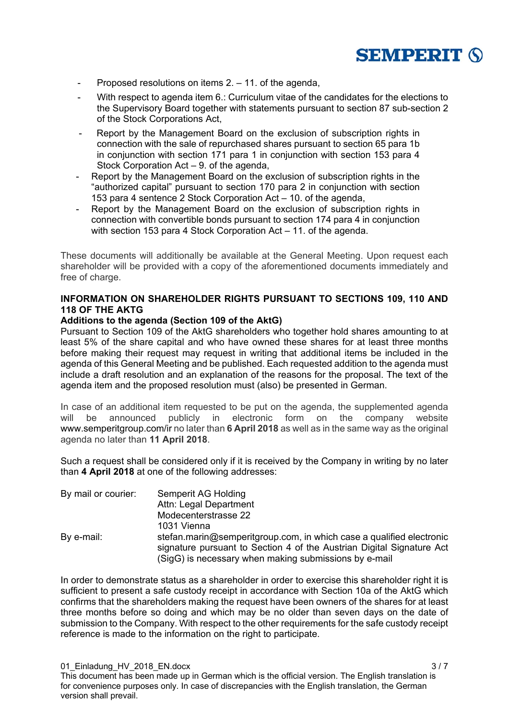

- Proposed resolutions on items 2. 11. of the agenda,
- With respect to agenda item 6.: Curriculum vitae of the candidates for the elections to the Supervisory Board together with statements pursuant to section 87 sub-section 2 of the Stock Corporations Act,
- Report by the Management Board on the exclusion of subscription rights in connection with the sale of repurchased shares pursuant to section 65 para 1b in conjunction with section 171 para 1 in conjunction with section 153 para 4 Stock Corporation Act – 9. of the agenda,
- Report by the Management Board on the exclusion of subscription rights in the "authorized capital" pursuant to section 170 para 2 in conjunction with section 153 para 4 sentence 2 Stock Corporation Act – 10. of the agenda,
- Report by the Management Board on the exclusion of subscription rights in connection with convertible bonds pursuant to section 174 para 4 in conjunction with section 153 para 4 Stock Corporation Act – 11. of the agenda.

These documents will additionally be available at the General Meeting. Upon request each shareholder will be provided with a copy of the aforementioned documents immediately and free of charge.

# **INFORMATION ON SHAREHOLDER RIGHTS PURSUANT TO SECTIONS 109, 110 AND 118 OF THE AKTG**

## **Additions to the agenda (Section 109 of the AktG)**

Pursuant to Section 109 of the AktG shareholders who together hold shares amounting to at least 5% of the share capital and who have owned these shares for at least three months before making their request may request in writing that additional items be included in the agenda of this General Meeting and be published. Each requested addition to the agenda must include a draft resolution and an explanation of the reasons for the proposal. The text of the agenda item and the proposed resolution must (also) be presented in German.

In case of an additional item requested to be put on the agenda, the supplemented agenda will be announced publicly in electronic form on the company website www.semperitgroup.com/ir no later than **6 April 2018** as well as in the same way as the original agenda no later than **11 April 2018**.

Such a request shall be considered only if it is received by the Company in writing by no later than **4 April 2018** at one of the following addresses:

| Semperit AG Holding                                                                                                            |
|--------------------------------------------------------------------------------------------------------------------------------|
| Attn: Legal Department                                                                                                         |
| Modecenterstrasse 22                                                                                                           |
| 1031 Vienna                                                                                                                    |
| stefan.marin@semperitgroup.com, in which case a qualified electronic                                                           |
| signature pursuant to Section 4 of the Austrian Digital Signature Act<br>(SigG) is necessary when making submissions by e-mail |
|                                                                                                                                |

In order to demonstrate status as a shareholder in order to exercise this shareholder right it is sufficient to present a safe custody receipt in accordance with Section 10a of the AktG which confirms that the shareholders making the request have been owners of the shares for at least three months before so doing and which may be no older than seven days on the date of submission to the Company. With respect to the other requirements for the safe custody receipt reference is made to the information on the right to participate.

01\_Einladung\_HV\_2018\_EN.docx 3 / 7 3 / 7 3 / 7 3 / 7 3 / 7 3 / 7 3 / 7 3 / 7 3 / 7 3 / 7 3 / 7 3 / 7 3 / 7 3 / 7 4  $\pm 0.0000$ This document has been made up in German which is the official version. The English translation is for convenience purposes only. In case of discrepancies with the English translation, the German version shall prevail.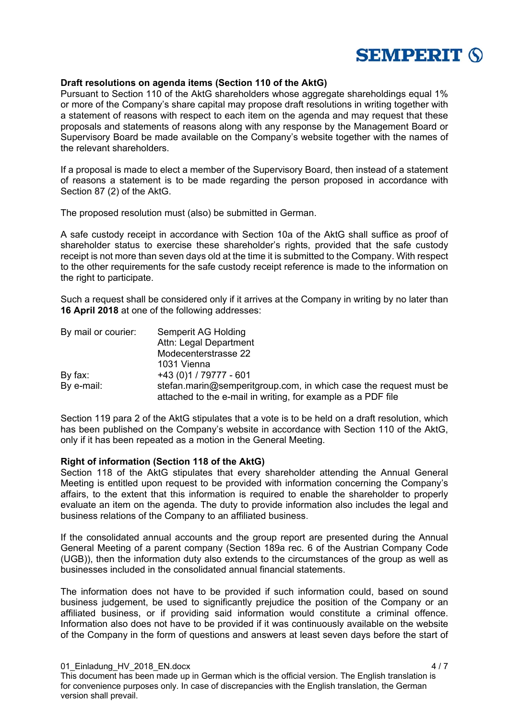

### **Draft resolutions on agenda items (Section 110 of the AktG)**

Pursuant to Section 110 of the AktG shareholders whose aggregate shareholdings equal 1% or more of the Company's share capital may propose draft resolutions in writing together with a statement of reasons with respect to each item on the agenda and may request that these proposals and statements of reasons along with any response by the Management Board or Supervisory Board be made available on the Company's website together with the names of the relevant shareholders.

If a proposal is made to elect a member of the Supervisory Board, then instead of a statement of reasons a statement is to be made regarding the person proposed in accordance with Section 87 (2) of the AktG.

The proposed resolution must (also) be submitted in German.

A safe custody receipt in accordance with Section 10a of the AktG shall suffice as proof of shareholder status to exercise these shareholder's rights, provided that the safe custody receipt is not more than seven days old at the time it is submitted to the Company. With respect to the other requirements for the safe custody receipt reference is made to the information on the right to participate.

Such a request shall be considered only if it arrives at the Company in writing by no later than **16 April 2018** at one of the following addresses:

| By mail or courier: | Semperit AG Holding                                                                                                               |
|---------------------|-----------------------------------------------------------------------------------------------------------------------------------|
|                     | Attn: Legal Department                                                                                                            |
|                     | Modecenterstrasse 22                                                                                                              |
|                     | 1031 Vienna                                                                                                                       |
| By fax:             | +43 (0)1 / 79777 - 601                                                                                                            |
| By e-mail:          | stefan.marin@semperitgroup.com, in which case the request must be<br>attached to the e-mail in writing, for example as a PDF file |

Section 119 para 2 of the AktG stipulates that a vote is to be held on a draft resolution, which has been published on the Company's website in accordance with Section 110 of the AktG, only if it has been repeated as a motion in the General Meeting.

### **Right of information (Section 118 of the AktG)**

Section 118 of the AktG stipulates that every shareholder attending the Annual General Meeting is entitled upon request to be provided with information concerning the Company's affairs, to the extent that this information is required to enable the shareholder to properly evaluate an item on the agenda. The duty to provide information also includes the legal and business relations of the Company to an affiliated business.

If the consolidated annual accounts and the group report are presented during the Annual General Meeting of a parent company (Section 189a rec. 6 of the Austrian Company Code (UGB)), then the information duty also extends to the circumstances of the group as well as businesses included in the consolidated annual financial statements.

The information does not have to be provided if such information could, based on sound business judgement, be used to significantly prejudice the position of the Company or an affiliated business, or if providing said information would constitute a criminal offence. Information also does not have to be provided if it was continuously available on the website of the Company in the form of questions and answers at least seven days before the start of

01\_Einladung\_HV\_2018\_EN.docx 4 / 7 This document has been made up in German which is the official version. The English translation is for convenience purposes only. In case of discrepancies with the English translation, the German version shall prevail.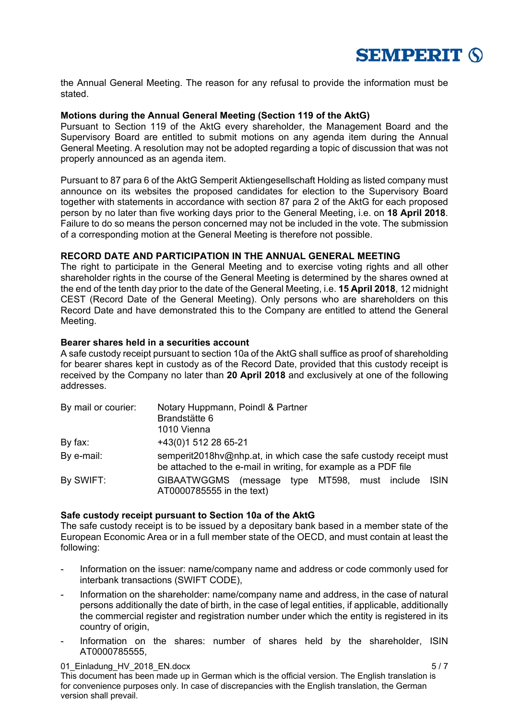

the Annual General Meeting. The reason for any refusal to provide the information must be stated.

### **Motions during the Annual General Meeting (Section 119 of the AktG)**

Pursuant to Section 119 of the AktG every shareholder, the Management Board and the Supervisory Board are entitled to submit motions on any agenda item during the Annual General Meeting. A resolution may not be adopted regarding a topic of discussion that was not properly announced as an agenda item.

Pursuant to 87 para 6 of the AktG Semperit Aktiengesellschaft Holding as listed company must announce on its websites the proposed candidates for election to the Supervisory Board together with statements in accordance with section 87 para 2 of the AktG for each proposed person by no later than five working days prior to the General Meeting, i.e. on **18 April 2018**. Failure to do so means the person concerned may not be included in the vote. The submission of a corresponding motion at the General Meeting is therefore not possible.

### **RECORD DATE AND PARTICIPATION IN THE ANNUAL GENERAL MEETING**

The right to participate in the General Meeting and to exercise voting rights and all other shareholder rights in the course of the General Meeting is determined by the shares owned at the end of the tenth day prior to the date of the General Meeting, i.e. **15 April 2018**, 12 midnight CEST (Record Date of the General Meeting). Only persons who are shareholders on this Record Date and have demonstrated this to the Company are entitled to attend the General Meeting.

### **Bearer shares held in a securities account**

A safe custody receipt pursuant to section 10a of the AktG shall suffice as proof of shareholding for bearer shares kept in custody as of the Record Date, provided that this custody receipt is received by the Company no later than **20 April 2018** and exclusively at one of the following addresses.

| By mail or courier: | Notary Huppmann, Poindl & Partner<br>Brandstätte 6<br>1010 Vienna                                                                     |
|---------------------|---------------------------------------------------------------------------------------------------------------------------------------|
| By fax:             | +43(0)1 512 28 65-21                                                                                                                  |
| By e-mail:          | semperit2018hv@nhp.at, in which case the safe custody receipt must<br>be attached to the e-mail in writing, for example as a PDF file |
| By SWIFT:           | GIBAATWGGMS (message type MT598, must include<br>- ISIN<br>AT0000785555 in the text)                                                  |

### **Safe custody receipt pursuant to Section 10a of the AktG**

The safe custody receipt is to be issued by a depositary bank based in a member state of the European Economic Area or in a full member state of the OECD, and must contain at least the following:

- Information on the issuer: name/company name and address or code commonly used for interbank transactions (SWIFT CODE),
- Information on the shareholder: name/company name and address, in the case of natural persons additionally the date of birth, in the case of legal entities, if applicable, additionally the commercial register and registration number under which the entity is registered in its country of origin,
- Information on the shares: number of shares held by the shareholder, ISIN AT0000785555,

#### 01\_Einladung\_HV\_2018\_EN.docx 5 / 7 5 / 7 5 / 7 5 / 7 5 / 7 5 / 7 5 / 7 5 / 7 5 / 7 5 / 7 5 / 7 5 / 7 5 / 7 5 / 7 5 / 7 5 / 7 5 / 7 5 / 7 5 / 7 5 / 7 5 / 7 5 / 7 5 / 7 5 / 7 5 / 7 5 / 7 5 / 7 5 / 7 5 / 7 5 / 7 5 / 7 5 / 7 5

This document has been made up in German which is the official version. The English translation is for convenience purposes only. In case of discrepancies with the English translation, the German version shall prevail.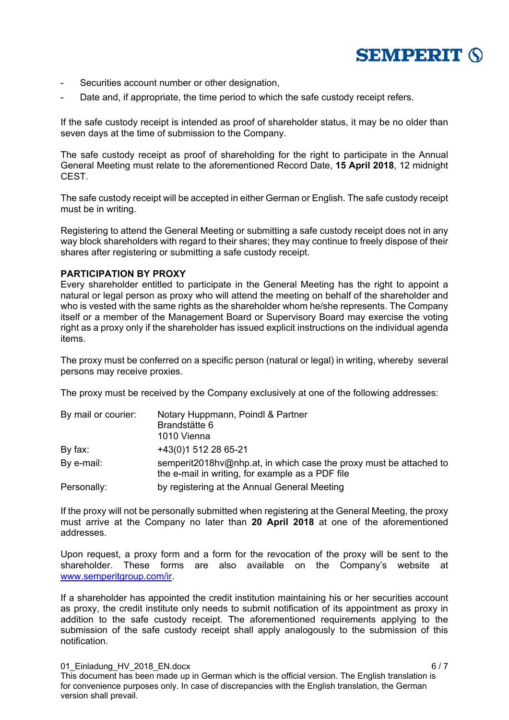

- Securities account number or other designation,
- Date and, if appropriate, the time period to which the safe custody receipt refers.

If the safe custody receipt is intended as proof of shareholder status, it may be no older than seven days at the time of submission to the Company.

The safe custody receipt as proof of shareholding for the right to participate in the Annual General Meeting must relate to the aforementioned Record Date, **15 April 2018**, 12 midnight CEST.

The safe custody receipt will be accepted in either German or English. The safe custody receipt must be in writing.

Registering to attend the General Meeting or submitting a safe custody receipt does not in any way block shareholders with regard to their shares; they may continue to freely dispose of their shares after registering or submitting a safe custody receipt.

### **PARTICIPATION BY PROXY**

Every shareholder entitled to participate in the General Meeting has the right to appoint a natural or legal person as proxy who will attend the meeting on behalf of the shareholder and who is vested with the same rights as the shareholder whom he/she represents. The Company itself or a member of the Management Board or Supervisory Board may exercise the voting right as a proxy only if the shareholder has issued explicit instructions on the individual agenda items.

The proxy must be conferred on a specific person (natural or legal) in writing, whereby several persons may receive proxies.

The proxy must be received by the Company exclusively at one of the following addresses:

| By mail or courier: | Notary Huppmann, Poindl & Partner                                                                                      |
|---------------------|------------------------------------------------------------------------------------------------------------------------|
|                     | Brandstätte 6                                                                                                          |
|                     | 1010 Vienna                                                                                                            |
| By fax:             | +43(0)1 512 28 65-21                                                                                                   |
| By e-mail:          | semperit2018hv@nhp.at, in which case the proxy must be attached to<br>the e-mail in writing, for example as a PDF file |
| Personally:         | by registering at the Annual General Meeting                                                                           |

If the proxy will not be personally submitted when registering at the General Meeting, the proxy must arrive at the Company no later than **20 April 2018** at one of the aforementioned addresses.

Upon request, a proxy form and a form for the revocation of the proxy will be sent to the shareholder. These forms are also available on the Company's website at www.semperitgroup.com/ir.

If a shareholder has appointed the credit institution maintaining his or her securities account as proxy, the credit institute only needs to submit notification of its appointment as proxy in addition to the safe custody receipt. The aforementioned requirements applying to the submission of the safe custody receipt shall apply analogously to the submission of this notification.

01\_Einladung\_HV\_2018\_EN.docx 6 / 7